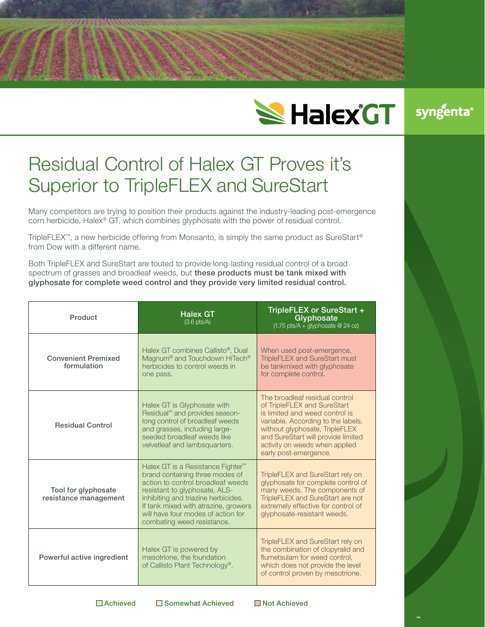

## Residual Control of Halex GT Proves it's Superior to TripleFLEX and SureStart

Many competitors are trying to position their products against the industry-leading post-emergence corn herbicide, Halex® GT, which combines glyphosate with the power of residual control.

TripleFLEX<sup>™</sup>, a new herbicide offering from Monsanto, is simply the same product as SureStart<sup>®</sup> from Dow with a different name.

Both TripleFLEX and SureStart are touted to provide long-lasting residual control of a broad spectrum of grasses and broadleaf weeds, but these products must be tank mixed with glyphosate for complete weed control and they provide very limited residual control.

| Product                                      | <b>Halex GT</b><br>$(3.6 \text{ pts/A})$                                                                                                                                                                                                                                                                  | TripleFLEX or SureStart +<br>Glyphosate<br>$(1.75 \text{ pts/A} + \text{glyphosate} \ @ \ 24 \text{ oz})$                                                                                                                                                                |
|----------------------------------------------|-----------------------------------------------------------------------------------------------------------------------------------------------------------------------------------------------------------------------------------------------------------------------------------------------------------|--------------------------------------------------------------------------------------------------------------------------------------------------------------------------------------------------------------------------------------------------------------------------|
| <b>Convenient Premixed</b><br>formulation    | Halex GT combines Callisto <sup>®</sup> . Dual<br>Magnum <sup>®</sup> and Touchdown HiTech <sup>®</sup><br>herbicides to control weeds in<br>one pass.                                                                                                                                                    | When used post-emergence,<br><b>TripleFLEX and SureStart must</b><br>be tankmixed with glyphosate<br>for complete control.                                                                                                                                               |
| <b>Residual Control</b>                      | Halex GT is Glyphosate with<br>Residual <sup>™</sup> and provides season-<br>long control of broadleaf weeds<br>and grasses, including large-<br>seeded broadleaf weeds like<br>velvetleaf and lambsquarters.                                                                                             | The broadleaf residual control<br>of TripleFLEX and SureStart<br>is limited and weed control is<br>variable. According to the labels,<br>without glyphosate, TripleFLEX<br>and SureStart will provide limited<br>activity on weeds when applied<br>early post-emergence. |
| Tool for glyphosate<br>resistance management | Halex GT is a Resistance Fighter <sup>™</sup><br>brand containing three modes of<br>action to control broadleaf weeds<br>resistant to glyphosate, ALS-<br>inhibiting and triazine herbicides.<br>If tank mixed with atrazine, growers<br>will have four modes of action for<br>combating weed resistance. | TripleFLEX and SureStart rely on<br>glyphosate for complete control of<br>many weeds. The components of<br>TripleFLEX and SureStart are not<br>extremely effective for control of<br>glyphosate-resistant weeds.                                                         |
| Powerful active ingredient                   | Halex GT is powered by<br>mesotrione, the foundation<br>of Callisto Plant Technology <sup>®</sup> .                                                                                                                                                                                                       | TripleFLEX and SureStart rely on<br>the combination of clopyralid and<br>flumetsulam for weed control.<br>which does not provide the level<br>of control proven by mesotrione.                                                                                           |

■ Achieved ■ Somewhat Achieved ■ Not Achieved